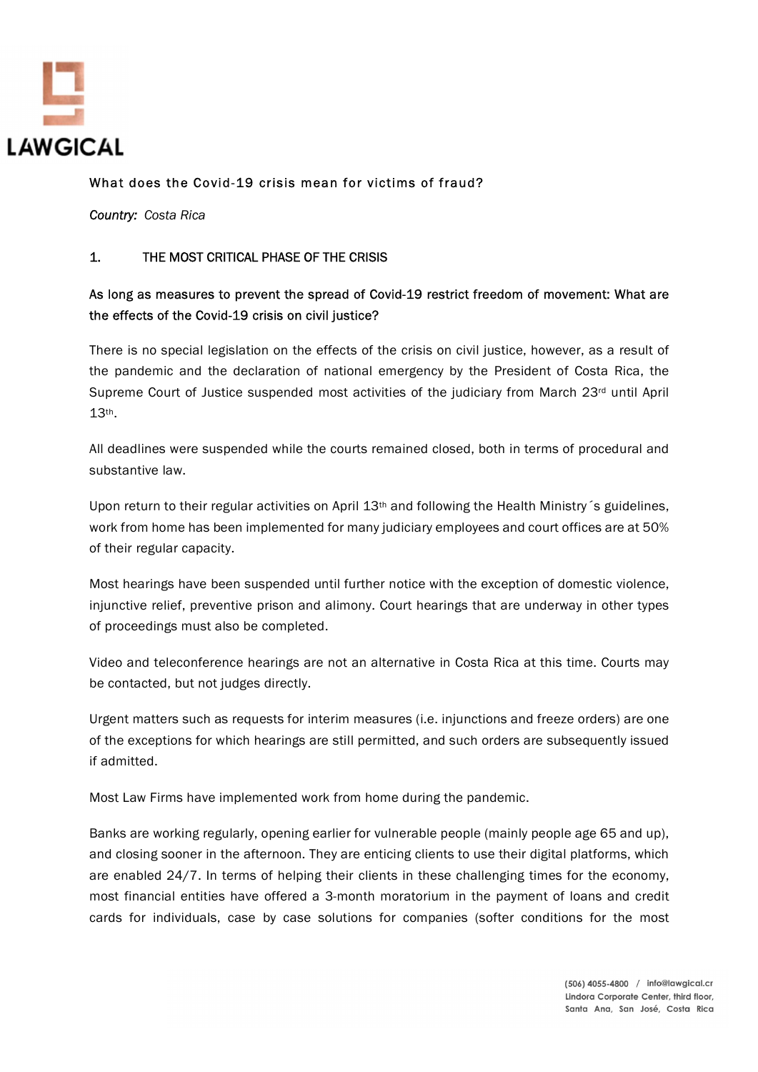

### What does the Covid-19 crisis mean for victims of fraud?

Country: Costa Rica

#### 1. THE MOST CRITICAL PHASE OF THE CRISIS

## As long as measures to prevent the spread of Covid-19 restrict freedom of movement: What are the effects of the Covid-19 crisis on civil justice?

There is no special legislation on the effects of the crisis on civil justice, however, as a result of the pandemic and the declaration of national emergency by the President of Costa Rica, the Supreme Court of Justice suspended most activities of the judiciary from March  $23<sup>rd</sup>$  until April  $13$ <sup>th</sup>.<br>All deadlines were suspended while the courts remained closed, both in terms of procedural and

substantive law.

Upon return to their regular activities on April 13<sup>th</sup> and following the Health Ministry s guidelines, work from home has been implemented for many judiciary employees and court offices are at 50% of their regular capacity.

Most hearings have been suspended until further notice with the exception of domestic violence, injunctive relief, preventive prison and alimony. Court hearings that are underway in other types of proceedings must also be completed.

Video and teleconference hearings are not an alternative in Costa Rica at this time. Courts may be contacted, but not judges directly.

Urgent matters such as requests for interim measures (i.e. injunctions and freeze orders) are one of the exceptions for which hearings are still permitted, and such orders are subsequently issued if admitted.

Most Law Firms have implemented work from home during the pandemic.

Banks are working regularly, opening earlier for vulnerable people (mainly people age 65 and up), and closing sooner in the afternoon. They are enticing clients to use their digital platforms, which are enabled 24/7. In terms of helping their clients in these challenging times for the economy, most financial entities have offered a 3-month moratorium in the payment of loans and credit cards for individuals, case by case solutions for companies (softer conditions for the most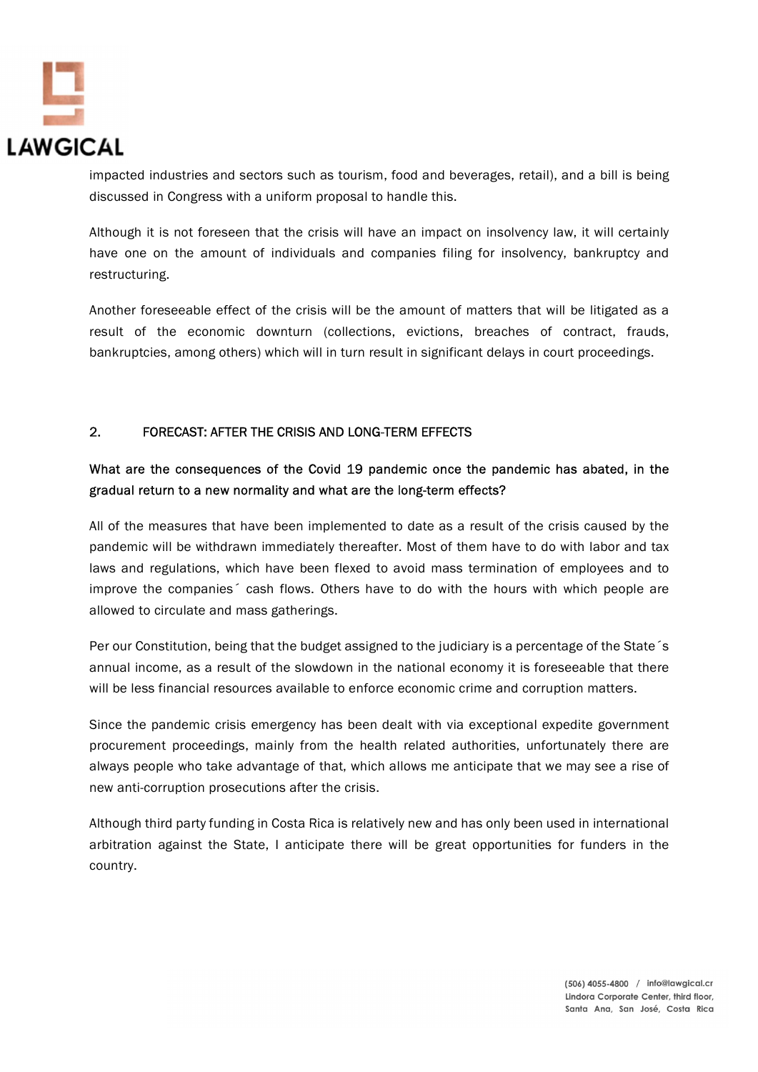

impacted industries and sectors such as tourism, food and beverages, retail), and a bill is being discussed in Congress with a uniform proposal to handle this.

Although it is not foreseen that the crisis will have an impact on insolvency law, it will certainly have one on the amount of individuals and companies filing for insolvency, bankruptcy and restructuring.

Another foreseeable effect of the crisis will be the amount of matters that will be litigated as a result of the economic downturn (collections, evictions, breaches of contract, frauds, bankruptcies, among others) which will in turn result in significant delays in court proceedings.

### 2. FORECAST: AFTER THE CRISIS AND LONG-TERM EFFECTS

# What are the consequences of the Covid 19 pandemic once the pandemic has abated, in the gradual return to a new normality and what are the long-term effects?

All of the measures that have been implemented to date as a result of the crisis caused by the pandemic will be withdrawn immediately thereafter. Most of them have to do with labor and tax laws and regulations, which have been flexed to avoid mass termination of employees and to improve the companies´ cash flows. Others have to do with the hours with which people are allowed to circulate and mass gatherings.

Per our Constitution, being that the budget assigned to the judiciary is a percentage of the State s annual income, as a result of the slowdown in the national economy it is foreseeable that there will be less financial resources available to enforce economic crime and corruption matters.

Since the pandemic crisis emergency has been dealt with via exceptional expedite government procurement proceedings, mainly from the health related authorities, unfortunately there are always people who take advantage of that, which allows me anticipate that we may see a rise of new anti-corruption prosecutions after the crisis.

Although third party funding in Costa Rica is relatively new and has only been used in international arbitration against the State, I anticipate there will be great opportunities for funders in the country.